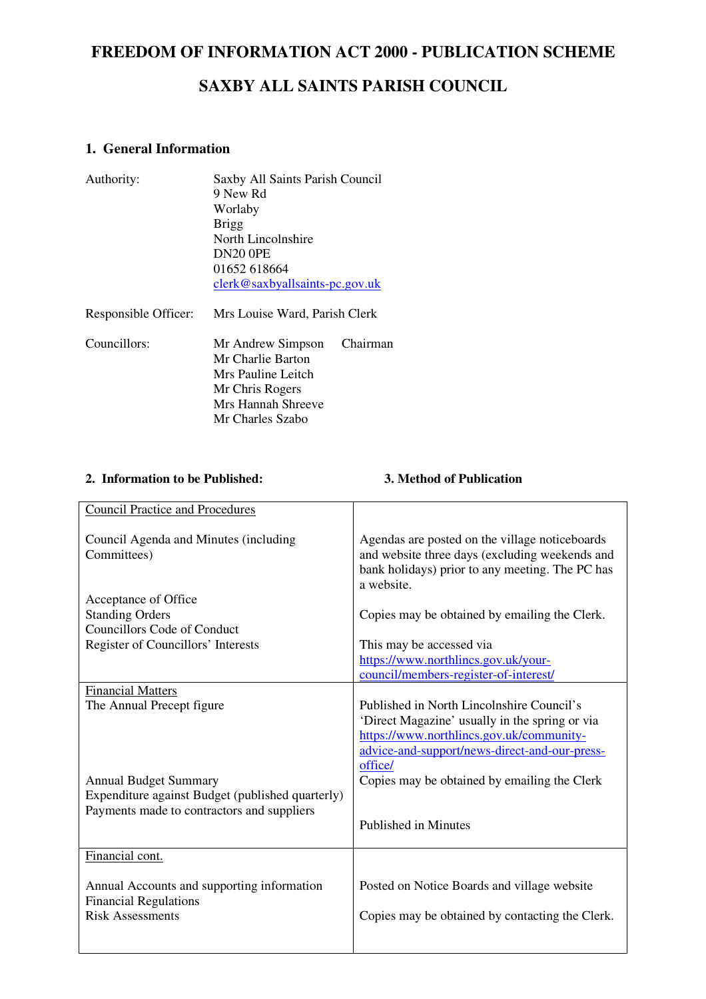# **FREEDOM OF INFORMATION ACT 2000 - PUBLICATION SCHEME**

## **SAXBY ALL SAINTS PARISH COUNCIL**

### **1. General Information**

| Authority:           | Saxby All Saints Parish Council  |          |  |
|----------------------|----------------------------------|----------|--|
|                      | 9 New Rd                         |          |  |
|                      | Worlaby                          |          |  |
|                      | <b>Brigg</b>                     |          |  |
|                      | North Lincolnshire               |          |  |
|                      | <b>DN20 0PE</b>                  |          |  |
|                      | 01652 618664                     |          |  |
|                      | $clerk@saxbyallsaints-pc.gov.uk$ |          |  |
| Responsible Officer: | Mrs Louise Ward, Parish Clerk    |          |  |
| Councillors:         | Mr Andrew Simpson                | Chairman |  |
|                      | Mr Charlie Barton                |          |  |
|                      | Mrs Pauline Leitch               |          |  |
|                      | Mr Chris Rogers                  |          |  |
|                      | Mrs Hannah Shreeve               |          |  |
|                      | Mr Charles Szabo                 |          |  |

### **2. Information to be Published: 3. Method of Publication**

| <b>Council Practice and Procedures</b>               |                                                                                                                                                                   |
|------------------------------------------------------|-------------------------------------------------------------------------------------------------------------------------------------------------------------------|
|                                                      |                                                                                                                                                                   |
| Council Agenda and Minutes (including<br>Committees) | Agendas are posted on the village noticeboards<br>and website three days (excluding weekends and<br>bank holidays) prior to any meeting. The PC has<br>a website. |
| Acceptance of Office                                 |                                                                                                                                                                   |
| <b>Standing Orders</b>                               | Copies may be obtained by emailing the Clerk.                                                                                                                     |
| <b>Councillors Code of Conduct</b>                   |                                                                                                                                                                   |
| Register of Councillors' Interests                   | This may be accessed via                                                                                                                                          |
|                                                      | https://www.northlincs.gov.uk/your-                                                                                                                               |
|                                                      | council/members-register-of-interest/                                                                                                                             |
| <b>Financial Matters</b>                             |                                                                                                                                                                   |
| The Annual Precept figure                            | Published in North Lincolnshire Council's                                                                                                                         |
|                                                      | 'Direct Magazine' usually in the spring or via                                                                                                                    |
|                                                      | https://www.northlincs.gov.uk/community-                                                                                                                          |
|                                                      | advice-and-support/news-direct-and-our-press-                                                                                                                     |
|                                                      | office/                                                                                                                                                           |
| <b>Annual Budget Summary</b>                         | Copies may be obtained by emailing the Clerk                                                                                                                      |
| Expenditure against Budget (published quarterly)     |                                                                                                                                                                   |
| Payments made to contractors and suppliers           |                                                                                                                                                                   |
|                                                      | <b>Published in Minutes</b>                                                                                                                                       |
|                                                      |                                                                                                                                                                   |
| Financial cont.                                      |                                                                                                                                                                   |
|                                                      |                                                                                                                                                                   |
| Annual Accounts and supporting information           | Posted on Notice Boards and village website                                                                                                                       |
| <b>Financial Regulations</b>                         |                                                                                                                                                                   |
| <b>Risk Assessments</b>                              | Copies may be obtained by contacting the Clerk.                                                                                                                   |
|                                                      |                                                                                                                                                                   |
|                                                      |                                                                                                                                                                   |